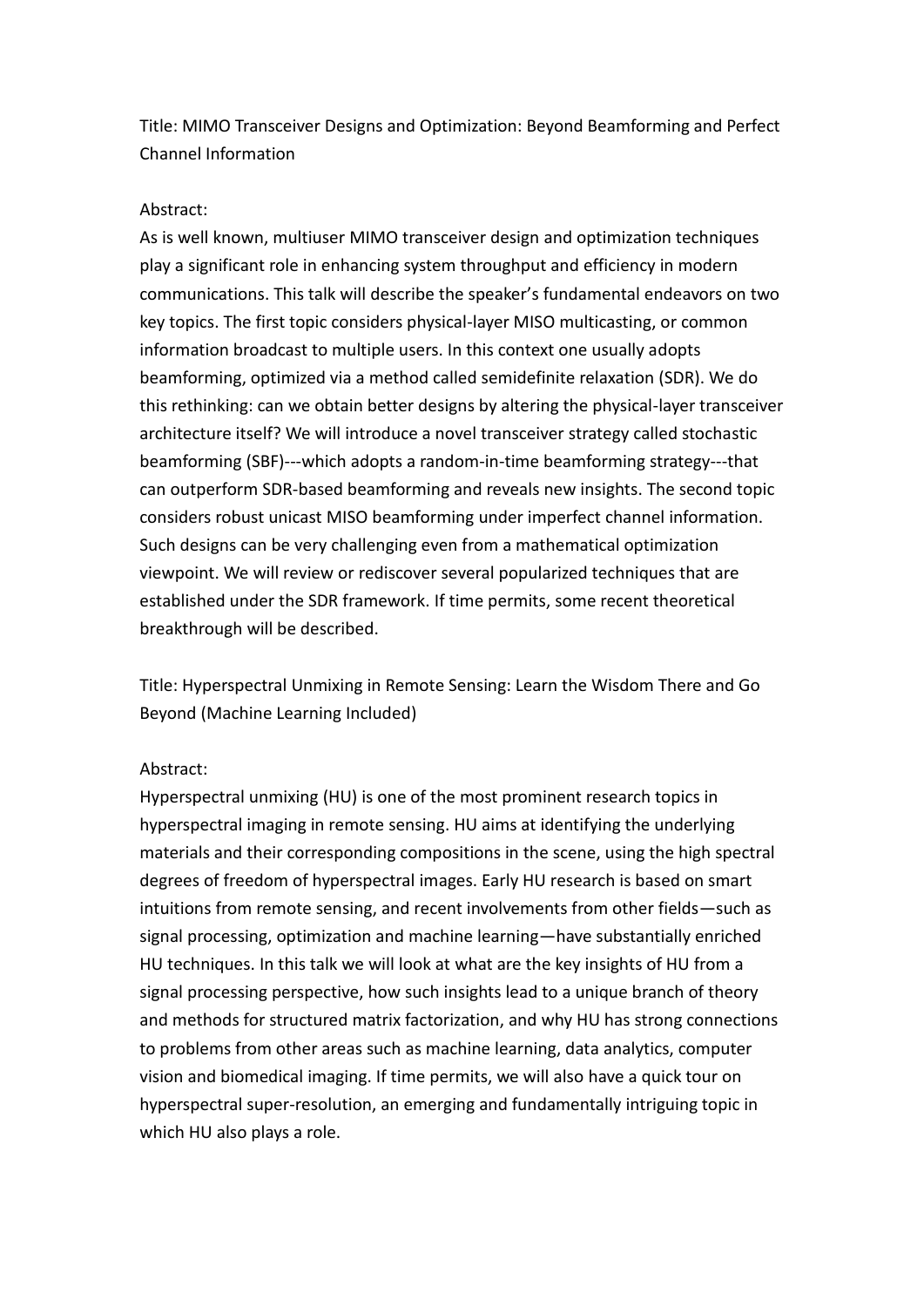Title: MIMO Transceiver Designs and Optimization: Beyond Beamforming and Perfect Channel Information

## Abstract:

As is well known, multiuser MIMO transceiver design and optimization techniques play a significant role in enhancing system throughput and efficiency in modern communications. This talk will describe the speaker's fundamental endeavors on two key topics. The first topic considers physical-layer MISO multicasting, or common information broadcast to multiple users. In this context one usually adopts beamforming, optimized via a method called semidefinite relaxation (SDR). We do this rethinking: can we obtain better designs by altering the physical-layer transceiver architecture itself? We will introduce a novel transceiver strategy called stochastic beamforming (SBF)---which adopts a random-in-time beamforming strategy---that can outperform SDR-based beamforming and reveals new insights. The second topic considers robust unicast MISO beamforming under imperfect channel information. Such designs can be very challenging even from a mathematical optimization viewpoint. We will review or rediscover several popularized techniques that are established under the SDR framework. If time permits, some recent theoretical breakthrough will be described.

Title: Hyperspectral Unmixing in Remote Sensing: Learn the Wisdom There and Go Beyond (Machine Learning Included)

## Abstract:

Hyperspectral unmixing (HU) is one of the most prominent research topics in hyperspectral imaging in remote sensing. HU aims at identifying the underlying materials and their corresponding compositions in the scene, using the high spectral degrees of freedom of hyperspectral images. Early HU research is based on smart intuitions from remote sensing, and recent involvements from other fields—such as signal processing, optimization and machine learning—have substantially enriched HU techniques. In this talk we will look at what are the key insights of HU from a signal processing perspective, how such insights lead to a unique branch of theory and methods for structured matrix factorization, and why HU has strong connections to problems from other areas such as machine learning, data analytics, computer vision and biomedical imaging. If time permits, we will also have a quick tour on hyperspectral super-resolution, an emerging and fundamentally intriguing topic in which HU also plays a role.